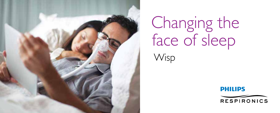

# Changing the face of sleep

**Wisp** 

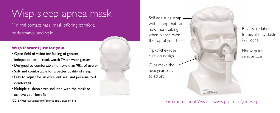# Wisp sleep apnea mask

Minimal contact nasal mask offering comfort, performance and style

## **Wisp features just for you:**

- Open field of vision for feeling of greater independence — read, watch TV, or wear glasses
- Designed to comfortably fit more than 98% of users\*
- Soft and comfortable for a better quality of sleep
- Easy to adjust for an excellent seal and personalized comfort fit
- Multiple cushion sizes included with the mask to achieve your best fit
- \*2012 Wisp customer preference trial, data on file

Self-adjusting strap with a loop that can hold mask tubing when placed over the top of your head

Tip-of-the-nose cushion design

Clips make the headgear easy to adjust

Reversible fabric frame; also available in silicone

> Elbow quick release tabs

Learn more about Wisp at www.philips.us/yourwisp

**NESPIRONICE**